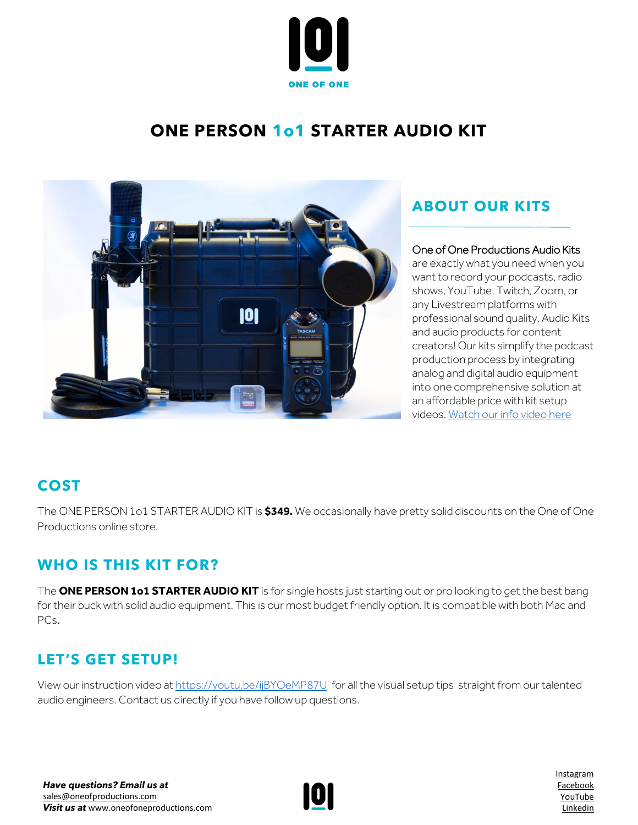

# **ONE PERSON 1o1 STARTER AUDIO KIT**



# **ABOUT OUR KITS**

### One of One Productions Audio Kits

are exactly what you need when you want to record your podcasts, radio shows, YouTube, Twitch, Zoom, or any Livestream platforms with professional sound quality. Audio Kits and audio products for content creators! Our kits simplify the podcast production process by integrating analog and digital audio equipment into one comprehensive solution at an affordable price with kit setup videos. [Watch our info video here](https://www.youtube.com/watch?v=azt8UKdf2mI)

# **COST**

The ONE PERSON 1o1 STARTER AUDIO KIT is **\$349.** We occasionally have pretty solid discounts on the One of One Productions online store.

# **WHO IS THIS KIT FOR?**

The **ONE PERSON 1o1 STARTER AUDIO KIT** is for single hosts just starting out or pro looking to get the best bang for their buck with solid audio equipment. This is our most budget friendly option. It is compatible with both Mac and PCs.

# **LET'S GET SETUP!**

View our instruction video at <https://youtu.be/ijBYOeMP87U> for all the visual setup tips straight from our talented audio engineers. Contact us directly if you have follow up questions.



[Instagram](http://www.instagram.com/oneofoneprostudio) [Facebook](http://www.facebook.com/oneofoneprostudio) [YouTube](https://www.youtube.com/channel/UC7rXqaZ33g4xGBeQXeCHT7Q/videos) [Linkedin](http://www.linkedin.com/company/one-of-one-productions-studio/)